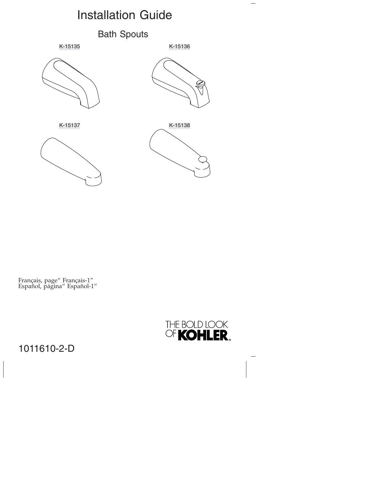# Installation Guide

#### Bath Spouts





 $\overline{\phantom{0}}$ 







Français, page" Français-1" Español, página" Español-1"



### 1011610-2-D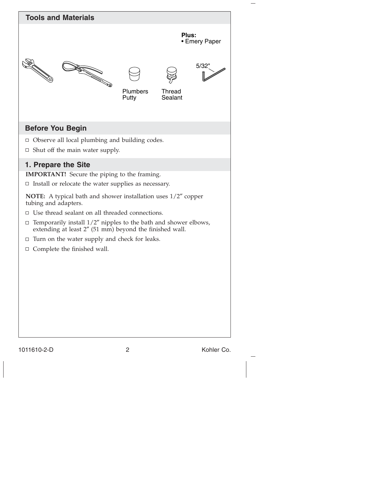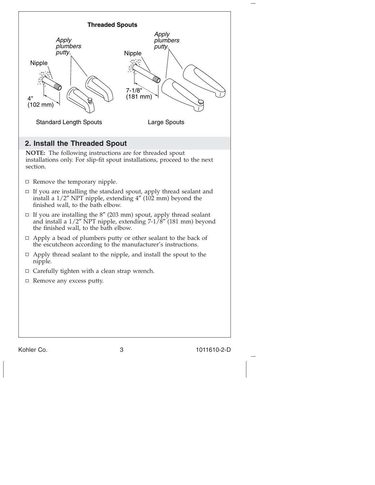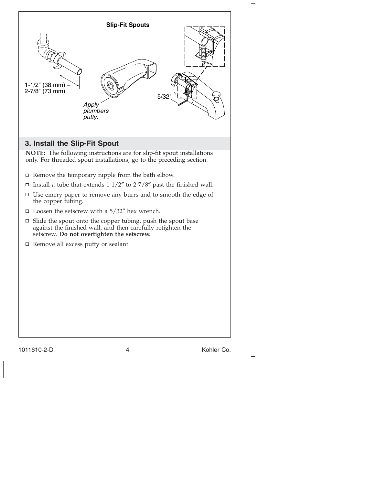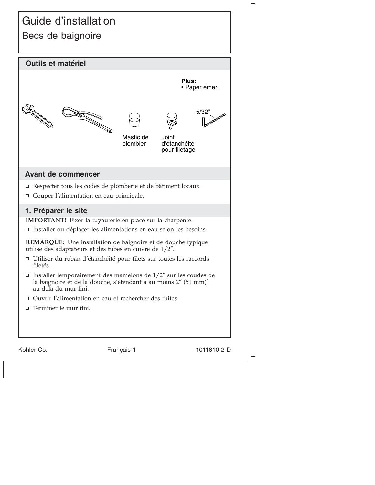## Guide d'installation Becs de baignoire



Kohler Co. Français-1 1011610-2-D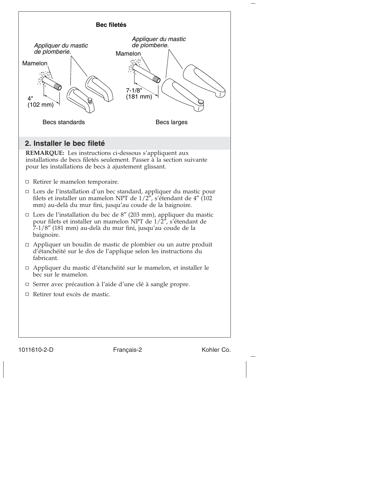

#### 1011610-2-D Français-2 Kohler Co.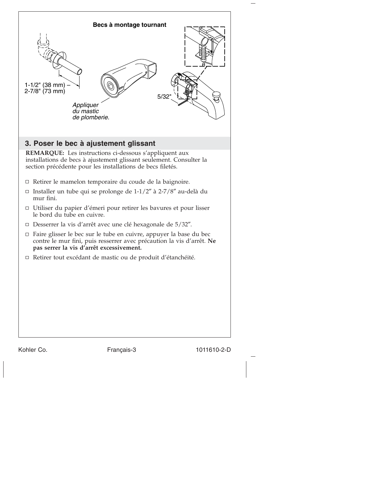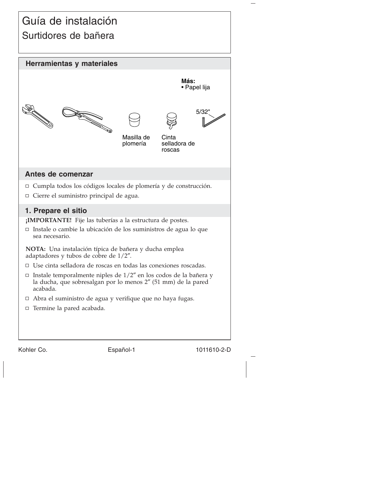## Guía de instalación Surtidores de bañera



Kohler Co. **Español-1** 1011610-2-D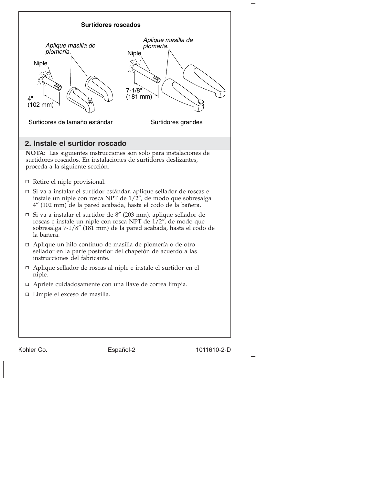

Kohler Co. **Español-2 Español-2** 1011610-2-D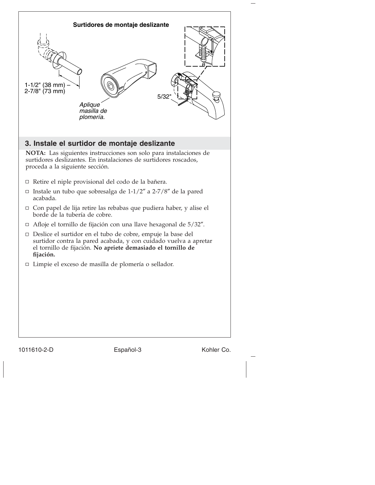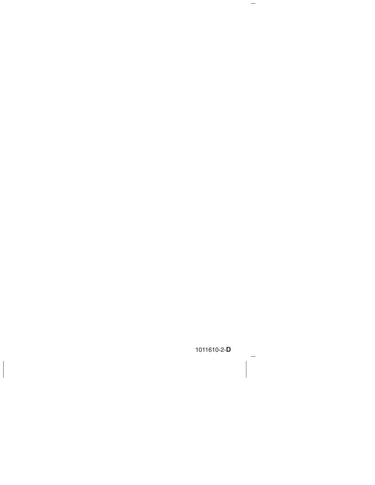1011610-2-**D**

 $\overline{\phantom{m}}$